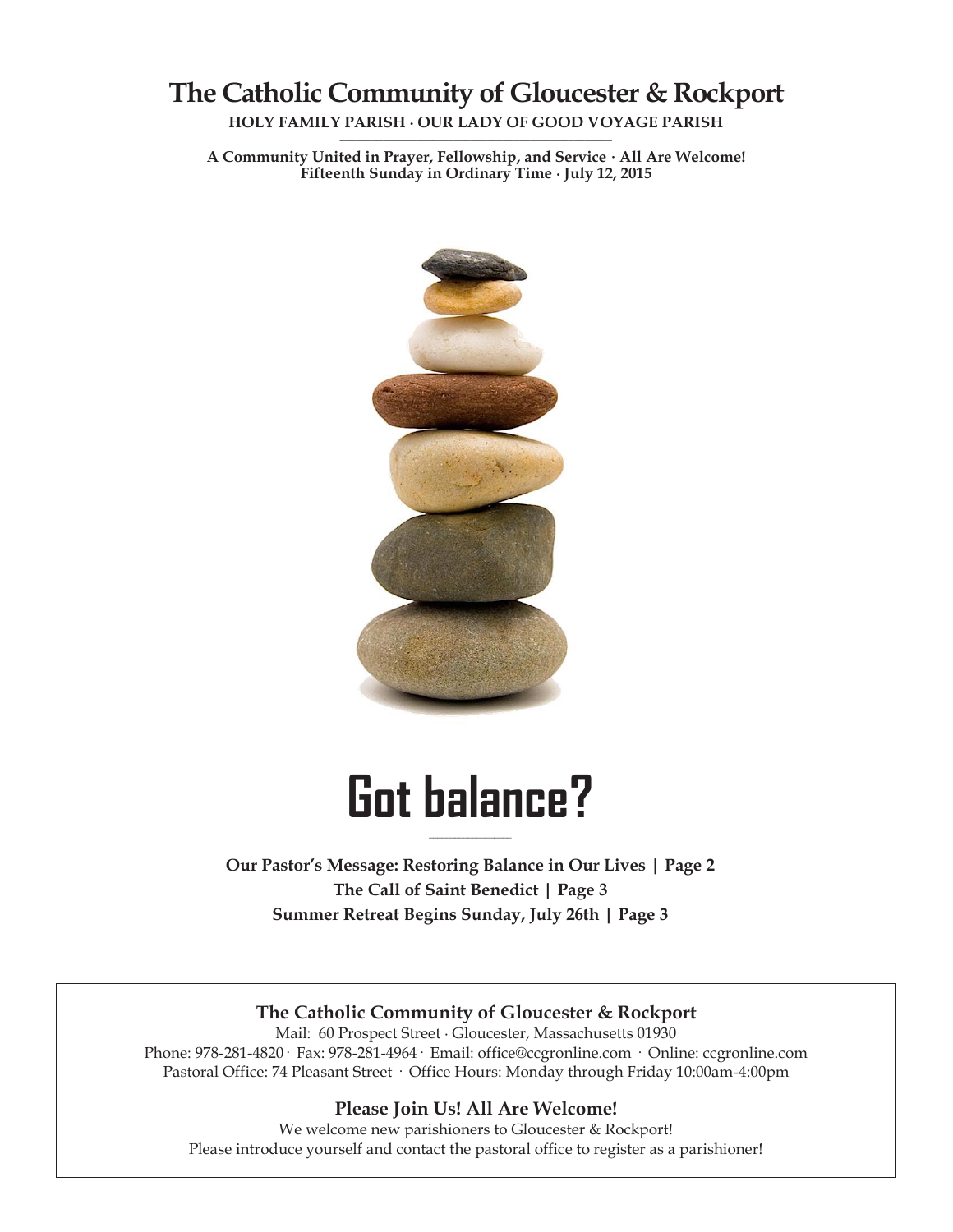# **The Catholic Community of Gloucester & Rockport**

**HOLY FAMILY PARISH ∙ OUR LADY OF GOOD VOYAGE PARISH \_\_\_\_\_\_\_\_\_\_\_\_\_\_\_\_\_\_\_\_\_\_\_\_\_\_\_\_\_\_\_\_\_\_\_\_\_\_\_\_\_\_\_\_\_\_\_\_\_\_**

**A Community United in Prayer, Fellowship, and Service ∙ All Are Welcome! Fifteenth Sunday in Ordinary Time ∙ July 12, 2015**



# **Got balance?**

**\_\_\_\_\_\_\_\_\_\_\_\_\_\_\_\_\_\_\_**

**Our Pastor's Message: Restoring Balance in Our Lives | Page 2 The Call of Saint Benedict | Page 3 Summer Retreat Begins Sunday, July 26th | Page 3**

# **The Catholic Community of Gloucester & Rockport**

Mail: 60 Prospect Street ∙ Gloucester, Massachusetts 01930 Phone: 978-281-4820· Fax: 978-281-4964· Email: office@ccgronline.com · Online: ccgronline.com Pastoral Office: 74 Pleasant Street · Office Hours: Monday through Friday 10:00am-4:00pm

# **Please Join Us! All Are Welcome!**

We welcome new parishioners to Gloucester & Rockport! Please introduce yourself and contact the pastoral office to register as a parishioner!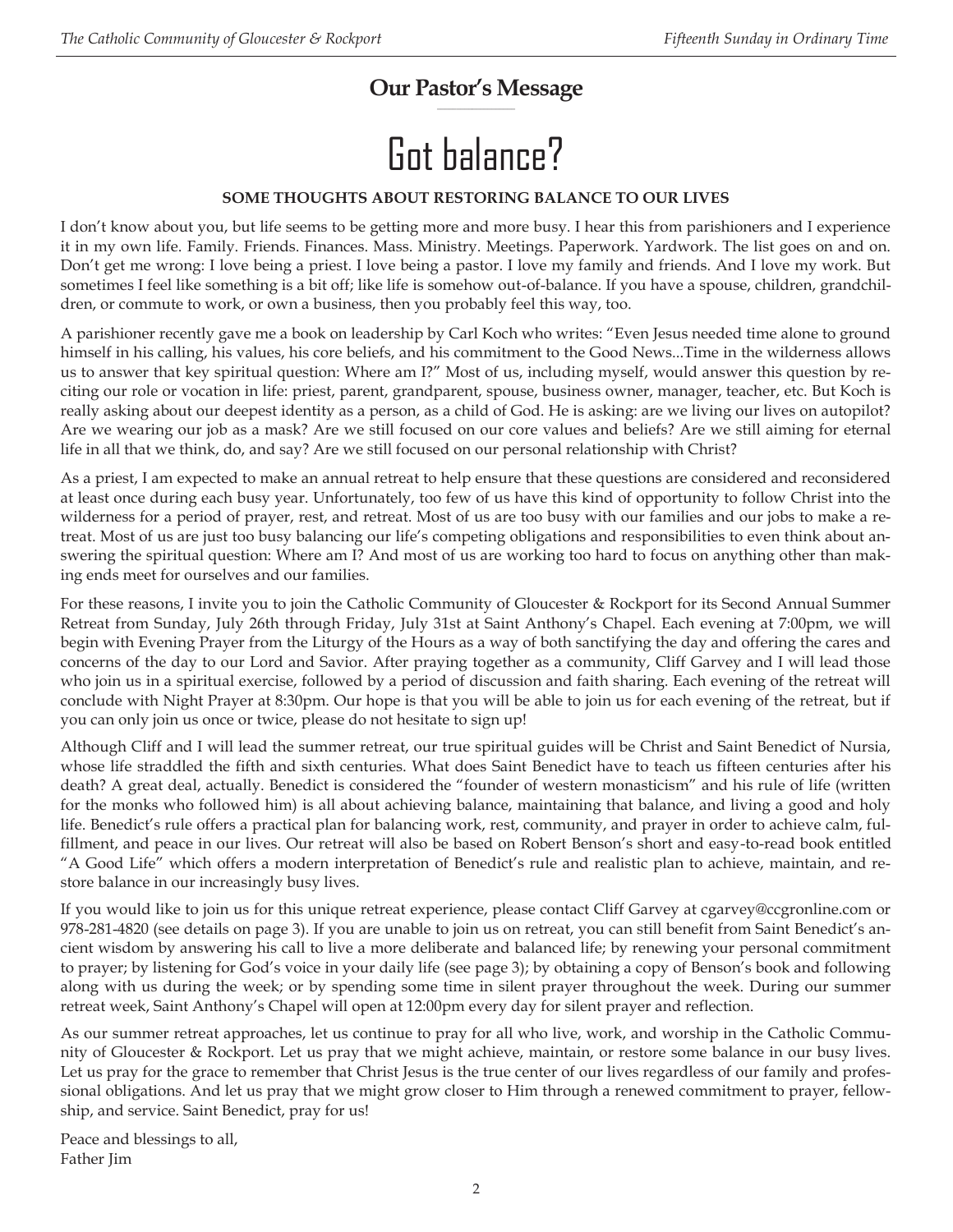#### **Our Pastor's Message \_\_\_\_\_\_\_\_\_\_\_\_\_\_\_\_\_\_\_\_**

# Got balance?

# **SOME THOUGHTS ABOUT RESTORING BALANCE TO OUR LIVES**

I don't know about you, but life seems to be getting more and more busy. I hear this from parishioners and I experience it in my own life. Family. Friends. Finances. Mass. Ministry. Meetings. Paperwork. Yardwork. The list goes on and on. Don't get me wrong: I love being a priest. I love being a pastor. I love my family and friends. And I love my work. But sometimes I feel like something is a bit off; like life is somehow out-of-balance. If you have a spouse, children, grandchildren, or commute to work, or own a business, then you probably feel this way, too.

A parishioner recently gave me a book on leadership by Carl Koch who writes: "Even Jesus needed time alone to ground himself in his calling, his values, his core beliefs, and his commitment to the Good News...Time in the wilderness allows us to answer that key spiritual question: Where am I?" Most of us, including myself, would answer this question by reciting our role or vocation in life: priest, parent, grandparent, spouse, business owner, manager, teacher, etc. But Koch is really asking about our deepest identity as a person, as a child of God. He is asking: are we living our lives on autopilot? Are we wearing our job as a mask? Are we still focused on our core values and beliefs? Are we still aiming for eternal life in all that we think, do, and say? Are we still focused on our personal relationship with Christ?

As a priest, I am expected to make an annual retreat to help ensure that these questions are considered and reconsidered at least once during each busy year. Unfortunately, too few of us have this kind of opportunity to follow Christ into the wilderness for a period of prayer, rest, and retreat. Most of us are too busy with our families and our jobs to make a retreat. Most of us are just too busy balancing our life's competing obligations and responsibilities to even think about answering the spiritual question: Where am I? And most of us are working too hard to focus on anything other than making ends meet for ourselves and our families.

For these reasons, I invite you to join the Catholic Community of Gloucester & Rockport for its Second Annual Summer Retreat from Sunday, July 26th through Friday, July 31st at Saint Anthony's Chapel. Each evening at 7:00pm, we will begin with Evening Prayer from the Liturgy of the Hours as a way of both sanctifying the day and offering the cares and concerns of the day to our Lord and Savior. After praying together as a community, Cliff Garvey and I will lead those who join us in a spiritual exercise, followed by a period of discussion and faith sharing. Each evening of the retreat will conclude with Night Prayer at 8:30pm. Our hope is that you will be able to join us for each evening of the retreat, but if you can only join us once or twice, please do not hesitate to sign up!

Although Cliff and I will lead the summer retreat, our true spiritual guides will be Christ and Saint Benedict of Nursia, whose life straddled the fifth and sixth centuries. What does Saint Benedict have to teach us fifteen centuries after his death? A great deal, actually. Benedict is considered the "founder of western monasticism" and his rule of life (written for the monks who followed him) is all about achieving balance, maintaining that balance, and living a good and holy life. Benedict's rule offers a practical plan for balancing work, rest, community, and prayer in order to achieve calm, fulfillment, and peace in our lives. Our retreat will also be based on Robert Benson's short and easy-to-read book entitled "A Good Life" which offers a modern interpretation of Benedict's rule and realistic plan to achieve, maintain, and restore balance in our increasingly busy lives.

If you would like to join us for this unique retreat experience, please contact Cliff Garvey at cgarvey@ccgronline.com or 978-281-4820 (see details on page 3). If you are unable to join us on retreat, you can still benefit from Saint Benedict's ancient wisdom by answering his call to live a more deliberate and balanced life; by renewing your personal commitment to prayer; by listening for God's voice in your daily life (see page 3); by obtaining a copy of Benson's book and following along with us during the week; or by spending some time in silent prayer throughout the week. During our summer retreat week, Saint Anthony's Chapel will open at 12:00pm every day for silent prayer and reflection.

As our summer retreat approaches, let us continue to pray for all who live, work, and worship in the Catholic Community of Gloucester & Rockport. Let us pray that we might achieve, maintain, or restore some balance in our busy lives. Let us pray for the grace to remember that Christ Jesus is the true center of our lives regardless of our family and professional obligations. And let us pray that we might grow closer to Him through a renewed commitment to prayer, fellowship, and service. Saint Benedict, pray for us!

Peace and blessings to all, Father Jim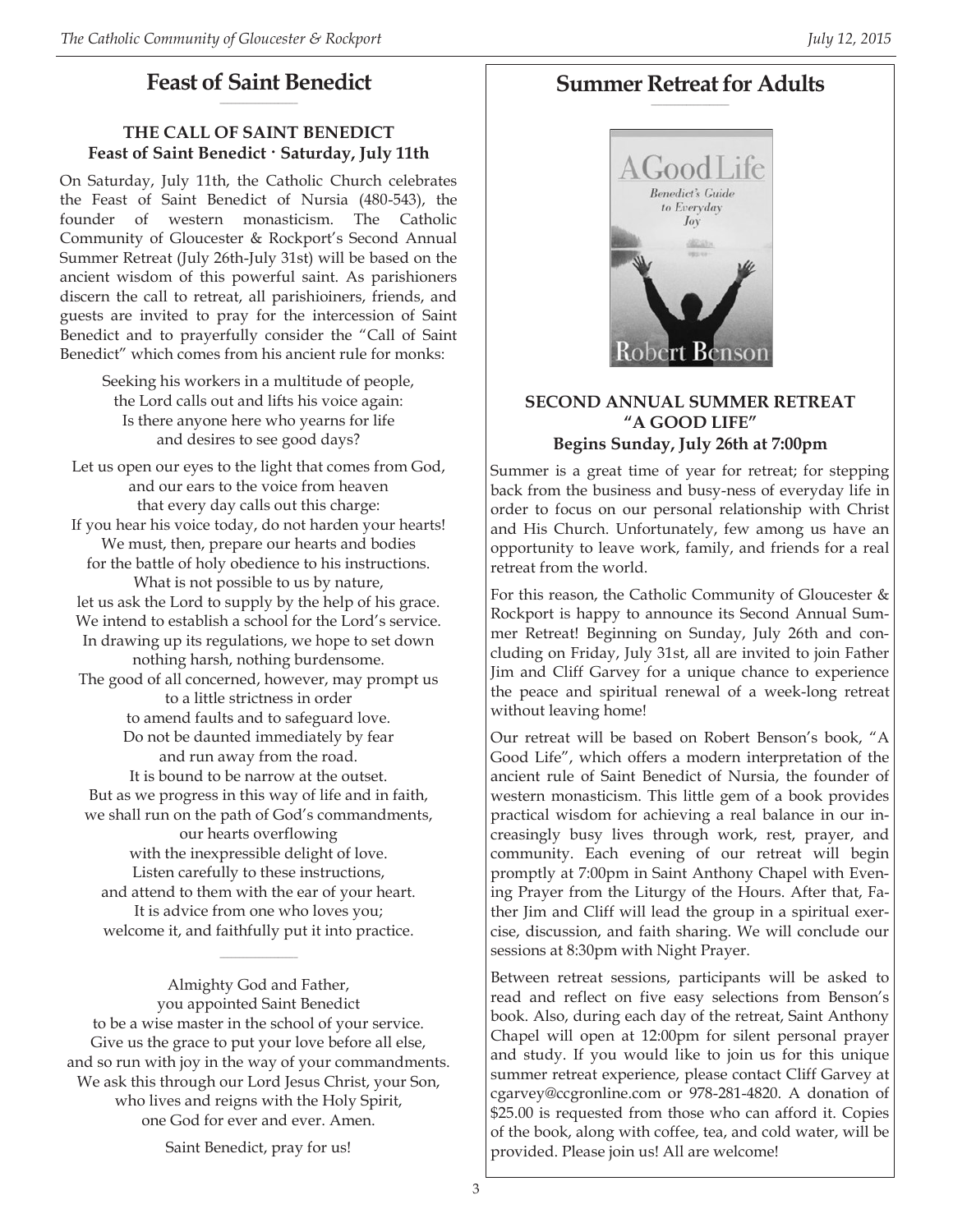#### **Feast of Saint Benedict \_\_\_\_\_\_\_\_\_\_\_\_\_\_\_\_\_\_\_\_**

## **THE CALL OF SAINT BENEDICT Feast of Saint Benedict · Saturday, July 11th**

On Saturday, July 11th, the Catholic Church celebrates the Feast of Saint Benedict of Nursia (480-543), the founder of western monasticism. The Catholic Community of Gloucester & Rockport's Second Annual Summer Retreat (July 26th-July 31st) will be based on the ancient wisdom of this powerful saint. As parishioners discern the call to retreat, all parishioiners, friends, and guests are invited to pray for the intercession of Saint Benedict and to prayerfully consider the "Call of Saint Benedict" which comes from his ancient rule for monks:

> Seeking his workers in a multitude of people, the Lord calls out and lifts his voice again: Is there anyone here who yearns for life and desires to see good days?

Let us open our eyes to the light that comes from God, and our ears to the voice from heaven that every day calls out this charge: If you hear his voice today, do not harden your hearts! We must, then, prepare our hearts and bodies for the battle of holy obedience to his instructions. What is not possible to us by nature, let us ask the Lord to supply by the help of his grace. We intend to establish a school for the Lord's service. In drawing up its regulations, we hope to set down nothing harsh, nothing burdensome. The good of all concerned, however, may prompt us to a little strictness in order to amend faults and to safeguard love. Do not be daunted immediately by fear and run away from the road. It is bound to be narrow at the outset. But as we progress in this way of life and in faith, we shall run on the path of God's commandments, our hearts overflowing with the inexpressible delight of love. Listen carefully to these instructions, and attend to them with the ear of your heart. It is advice from one who loves you; welcome it, and faithfully put it into practice.

Almighty God and Father, you appointed Saint Benedict to be a wise master in the school of your service. Give us the grace to put your love before all else, and so run with joy in the way of your commandments. We ask this through our Lord Jesus Christ, your Son, who lives and reigns with the Holy Spirit, one God for ever and ever. Amen.

 $\_$ 

Saint Benedict, pray for us!

# **Summer Retreat for Adults**



# **SECOND ANNUAL SUMMER RETREAT "A GOOD LIFE" Begins Sunday, July 26th at 7:00pm**

Summer is a great time of year for retreat; for stepping back from the business and busy-ness of everyday life in order to focus on our personal relationship with Christ and His Church. Unfortunately, few among us have an opportunity to leave work, family, and friends for a real retreat from the world.

For this reason, the Catholic Community of Gloucester & Rockport is happy to announce its Second Annual Summer Retreat! Beginning on Sunday, July 26th and concluding on Friday, July 31st, all are invited to join Father Jim and Cliff Garvey for a unique chance to experience the peace and spiritual renewal of a week-long retreat without leaving home!

Our retreat will be based on Robert Benson's book, "A Good Life", which offers a modern interpretation of the ancient rule of Saint Benedict of Nursia, the founder of western monasticism. This little gem of a book provides practical wisdom for achieving a real balance in our increasingly busy lives through work, rest, prayer, and community. Each evening of our retreat will begin promptly at 7:00pm in Saint Anthony Chapel with Evening Prayer from the Liturgy of the Hours. After that, Father Jim and Cliff will lead the group in a spiritual exercise, discussion, and faith sharing. We will conclude our sessions at 8:30pm with Night Prayer.

Between retreat sessions, participants will be asked to read and reflect on five easy selections from Benson's book. Also, during each day of the retreat, Saint Anthony Chapel will open at 12:00pm for silent personal prayer and study. If you would like to join us for this unique summer retreat experience, please contact Cliff Garvey at cgarvey@ccgronline.com or 978-281-4820. A donation of \$25.00 is requested from those who can afford it. Copies of the book, along with coffee, tea, and cold water, will be provided. Please join us! All are welcome!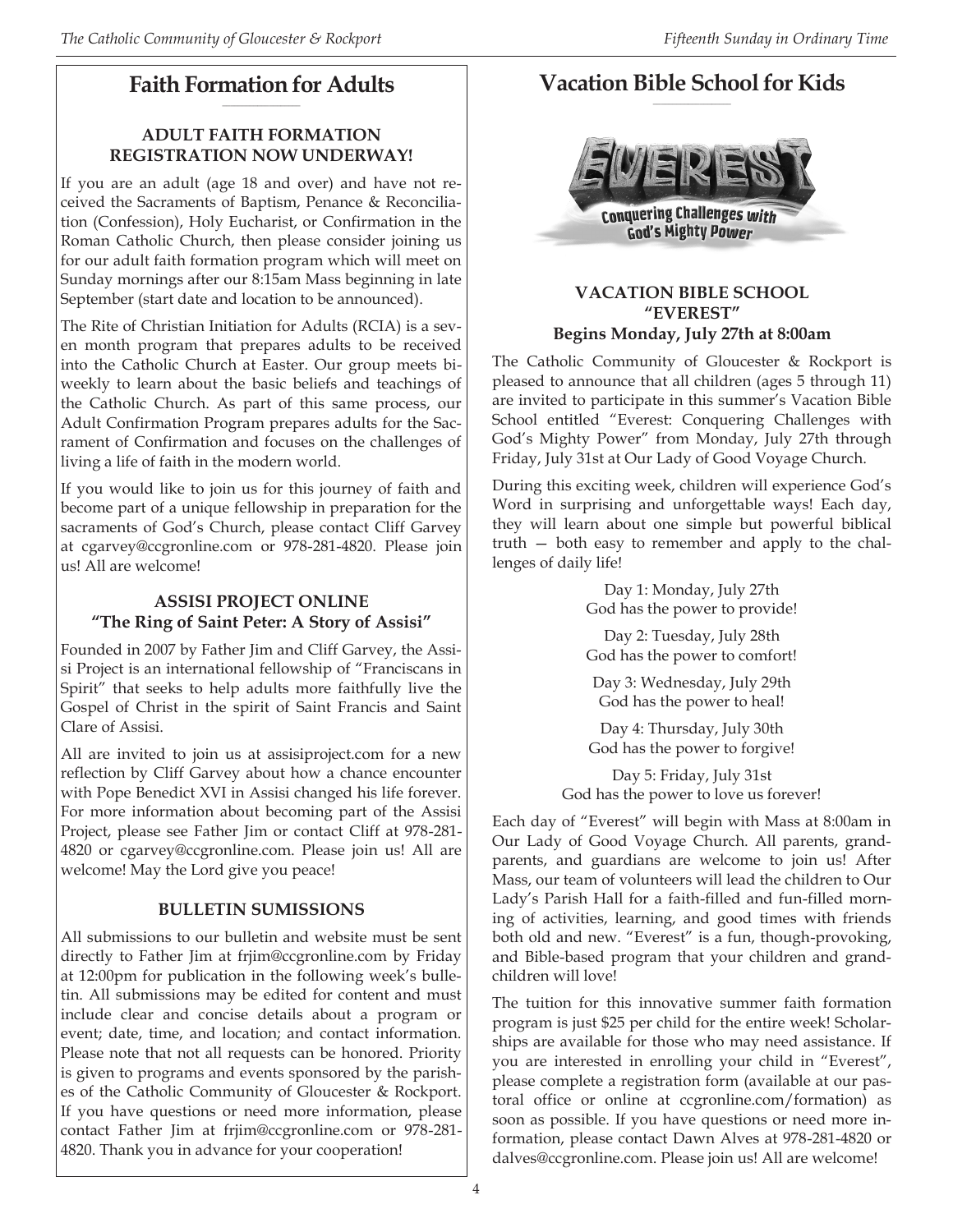#### **Faith Formation for Adults \_\_\_\_\_\_\_\_\_\_\_\_\_\_\_\_\_\_\_\_**

# **ADULT FAITH FORMATION REGISTRATION NOW UNDERWAY!**

If you are an adult (age 18 and over) and have not received the Sacraments of Baptism, Penance & Reconciliation (Confession), Holy Eucharist, or Confirmation in the Roman Catholic Church, then please consider joining us for our adult faith formation program which will meet on Sunday mornings after our 8:15am Mass beginning in late September (start date and location to be announced).

The Rite of Christian Initiation for Adults (RCIA) is a seven month program that prepares adults to be received into the Catholic Church at Easter. Our group meets biweekly to learn about the basic beliefs and teachings of the Catholic Church. As part of this same process, our Adult Confirmation Program prepares adults for the Sacrament of Confirmation and focuses on the challenges of living a life of faith in the modern world.

If you would like to join us for this journey of faith and become part of a unique fellowship in preparation for the sacraments of God's Church, please contact Cliff Garvey at cgarvey@ccgronline.com or 978-281-4820. Please join us! All are welcome!

# **ASSISI PROJECT ONLINE "The Ring of Saint Peter: A Story of Assisi"**

Founded in 2007 by Father Jim and Cliff Garvey, the Assisi Project is an international fellowship of "Franciscans in Spirit" that seeks to help adults more faithfully live the Gospel of Christ in the spirit of Saint Francis and Saint Clare of Assisi.

All are invited to join us at assisiproject.com for a new reflection by Cliff Garvey about how a chance encounter with Pope Benedict XVI in Assisi changed his life forever. For more information about becoming part of the Assisi Project, please see Father Jim or contact Cliff at 978-281- 4820 or cgarvey@ccgronline.com. Please join us! All are welcome! May the Lord give you peace!

# **BULLETIN SUMISSIONS**

All submissions to our bulletin and website must be sent directly to Father Jim at frjim@ccgronline.com by Friday at 12:00pm for publication in the following week's bulletin. All submissions may be edited for content and must include clear and concise details about a program or event; date, time, and location; and contact information. Please note that not all requests can be honored. Priority is given to programs and events sponsored by the parishes of the Catholic Community of Gloucester & Rockport. If you have questions or need more information, please contact Father Jim at frjim@ccgronline.com or 978-281- 4820. Thank you in advance for your cooperation!

#### **Vacation Bible School for Kids \_\_\_\_\_\_\_\_\_\_\_\_\_\_\_\_\_\_\_\_**



# **VACATION BIBLE SCHOOL "EVEREST" Begins Monday, July 27th at 8:00am**

The Catholic Community of Gloucester & Rockport is pleased to announce that all children (ages 5 through 11) are invited to participate in this summer's Vacation Bible School entitled "Everest: Conquering Challenges with God's Mighty Power" from Monday, July 27th through Friday, July 31st at Our Lady of Good Voyage Church.

During this exciting week, children will experience God's Word in surprising and unforgettable ways! Each day, they will learn about one simple but powerful biblical truth — both easy to remember and apply to the challenges of daily life!

> Day 1: Monday, July 27th God has the power to provide!

> Day 2: Tuesday, July 28th God has the power to comfort!

Day 3: Wednesday, July 29th God has the power to heal!

Day 4: Thursday, July 30th God has the power to forgive!

Day 5: Friday, July 31st God has the power to love us forever!

Each day of "Everest" will begin with Mass at 8:00am in Our Lady of Good Voyage Church. All parents, grandparents, and guardians are welcome to join us! After Mass, our team of volunteers will lead the children to Our Lady's Parish Hall for a faith-filled and fun-filled morning of activities, learning, and good times with friends both old and new. "Everest" is a fun, though-provoking, and Bible-based program that your children and grandchildren will love!

The tuition for this innovative summer faith formation program is just \$25 per child for the entire week! Scholarships are available for those who may need assistance. If you are interested in enrolling your child in "Everest", please complete a registration form (available at our pastoral office or online at ccgronline.com/formation) as soon as possible. If you have questions or need more information, please contact Dawn Alves at 978-281-4820 or dalves@ccgronline.com. Please join us! All are welcome!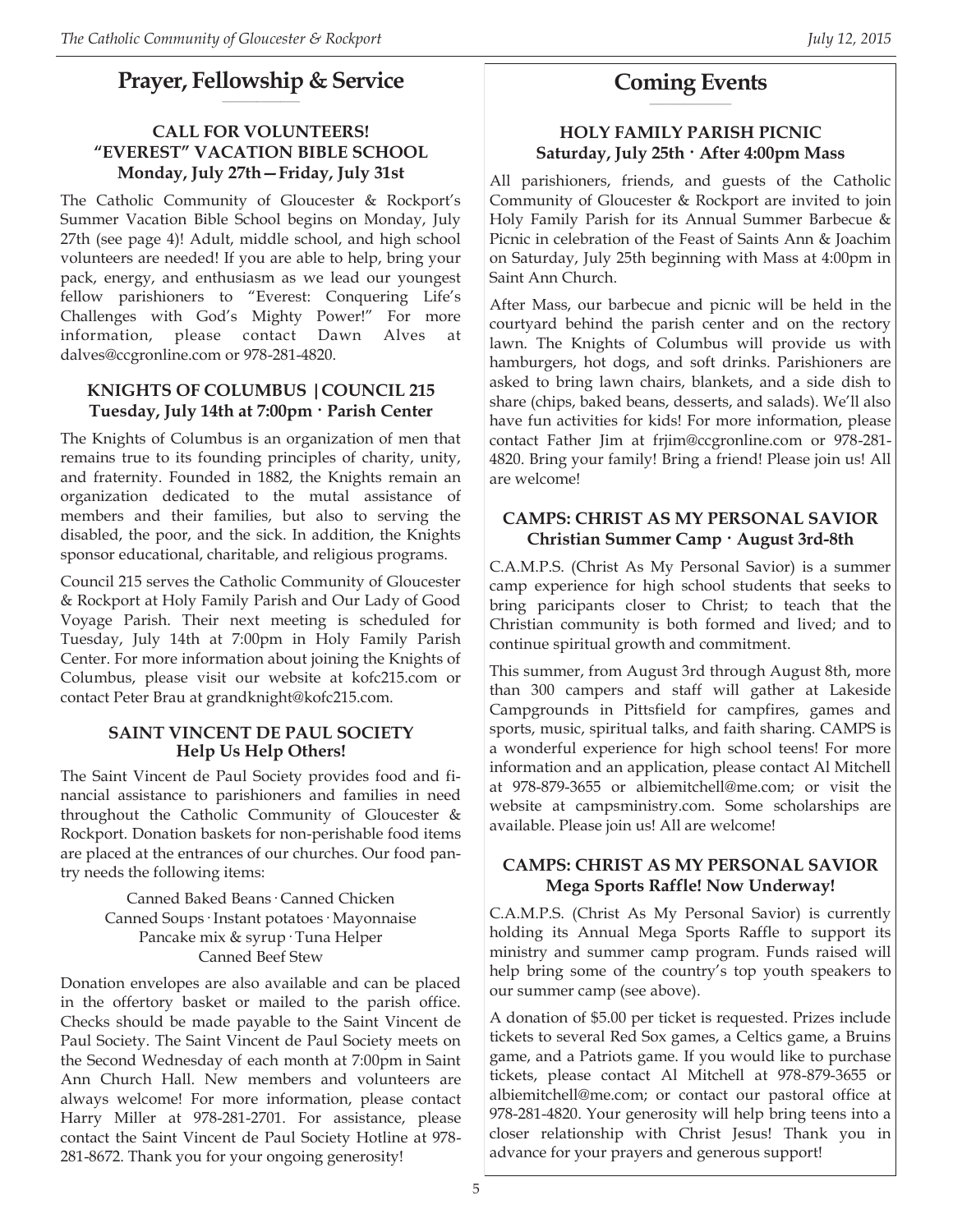#### **Prayer, Fellowship & Service \_\_\_\_\_\_\_\_\_\_\_\_\_\_\_\_\_\_\_\_**

# **CALL FOR VOLUNTEERS! "EVEREST" VACATION BIBLE SCHOOL Monday, July 27th—Friday, July 31st**

The Catholic Community of Gloucester & Rockport's Summer Vacation Bible School begins on Monday, July 27th (see page 4)! Adult, middle school, and high school volunteers are needed! If you are able to help, bring your pack, energy, and enthusiasm as we lead our youngest fellow parishioners to "Everest: Conquering Life's Challenges with God's Mighty Power!" For more information, please contact Dawn Alves at dalves@ccgronline.com or 978-281-4820.

## **KNIGHTS OF COLUMBUS |COUNCIL 215 Tuesday, July 14th at 7:00pm · Parish Center**

The Knights of Columbus is an organization of men that remains true to its founding principles of charity, unity, and fraternity. Founded in 1882, the Knights remain an organization dedicated to the mutal assistance of members and their families, but also to serving the disabled, the poor, and the sick. In addition, the Knights sponsor educational, charitable, and religious programs.

Council 215 serves the Catholic Community of Gloucester & Rockport at Holy Family Parish and Our Lady of Good Voyage Parish. Their next meeting is scheduled for Tuesday, July 14th at 7:00pm in Holy Family Parish Center. For more information about joining the Knights of Columbus, please visit our website at kofc215.com or contact Peter Brau at grandknight@kofc215.com.

## **SAINT VINCENT DE PAUL SOCIETY Help Us Help Others!**

The Saint Vincent de Paul Society provides food and financial assistance to parishioners and families in need throughout the Catholic Community of Gloucester & Rockport. Donation baskets for non-perishable food items are placed at the entrances of our churches. Our food pantry needs the following items:

> Canned Baked Beans· Canned Chicken Canned Soups· Instant potatoes· Mayonnaise Pancake mix & syrup· Tuna Helper Canned Beef Stew

Donation envelopes are also available and can be placed in the offertory basket or mailed to the parish office. Checks should be made payable to the Saint Vincent de Paul Society. The Saint Vincent de Paul Society meets on the Second Wednesday of each month at 7:00pm in Saint Ann Church Hall. New members and volunteers are always welcome! For more information, please contact Harry Miller at 978-281-2701. For assistance, please contact the Saint Vincent de Paul Society Hotline at 978- 281-8672. Thank you for your ongoing generosity!

#### **Coming Events \_\_\_\_\_\_\_\_\_\_\_\_\_\_\_\_\_\_\_\_\_**

# **HOLY FAMILY PARISH PICNIC Saturday, July 25th · After 4:00pm Mass**

All parishioners, friends, and guests of the Catholic Community of Gloucester & Rockport are invited to join Holy Family Parish for its Annual Summer Barbecue & Picnic in celebration of the Feast of Saints Ann & Joachim on Saturday, July 25th beginning with Mass at 4:00pm in Saint Ann Church.

After Mass, our barbecue and picnic will be held in the courtyard behind the parish center and on the rectory lawn. The Knights of Columbus will provide us with hamburgers, hot dogs, and soft drinks. Parishioners are asked to bring lawn chairs, blankets, and a side dish to share (chips, baked beans, desserts, and salads). We'll also have fun activities for kids! For more information, please contact Father Jim at frjim@ccgronline.com or 978-281- 4820. Bring your family! Bring a friend! Please join us! All are welcome!

# **CAMPS: CHRIST AS MY PERSONAL SAVIOR Christian Summer Camp · August 3rd-8th**

C.A.M.P.S. (Christ As My Personal Savior) is a summer camp experience for high school students that seeks to bring paricipants closer to Christ; to teach that the Christian community is both formed and lived; and to continue spiritual growth and commitment.

This summer, from August 3rd through August 8th, more than 300 campers and staff will gather at Lakeside Campgrounds in Pittsfield for campfires, games and sports, music, spiritual talks, and faith sharing. CAMPS is a wonderful experience for high school teens! For more information and an application, please contact Al Mitchell at 978-879-3655 or albiemitchell@me.com; or visit the website at campsministry.com. Some scholarships are available. Please join us! All are welcome!

# **CAMPS: CHRIST AS MY PERSONAL SAVIOR Mega Sports Raffle! Now Underway!**

C.A.M.P.S. (Christ As My Personal Savior) is currently holding its Annual Mega Sports Raffle to support its ministry and summer camp program. Funds raised will help bring some of the country's top youth speakers to our summer camp (see above).

A donation of \$5.00 per ticket is requested. Prizes include tickets to several Red Sox games, a Celtics game, a Bruins game, and a Patriots game. If you would like to purchase tickets, please contact Al Mitchell at 978-879-3655 or albiemitchell@me.com; or contact our pastoral office at 978-281-4820. Your generosity will help bring teens into a closer relationship with Christ Jesus! Thank you in advance for your prayers and generous support!